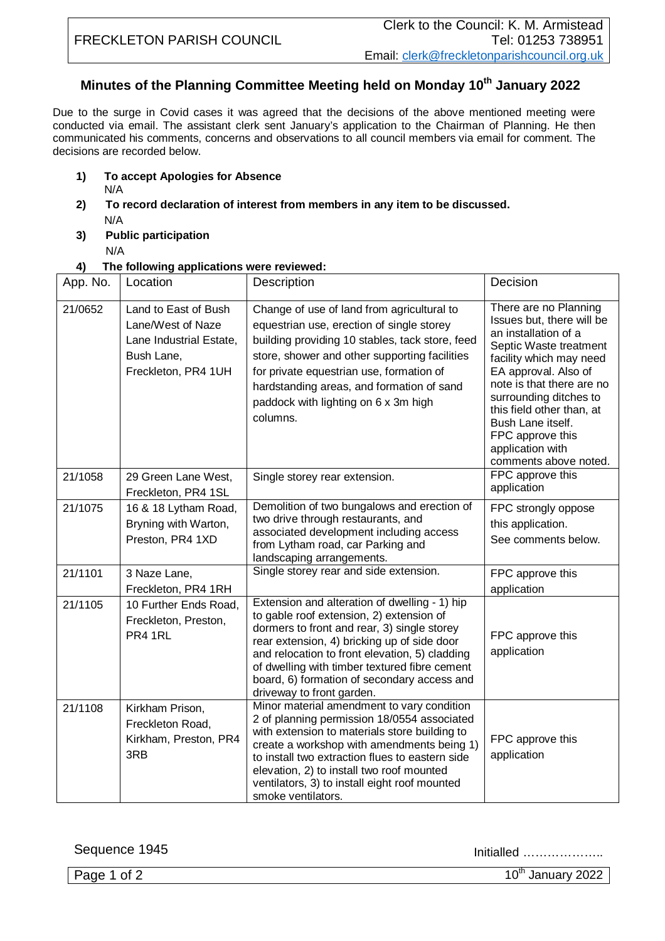## **Minutes of the Planning Committee Meeting held on Monday 10th January 2022**

Due to the surge in Covid cases it was agreed that the decisions of the above mentioned meeting were conducted via email. The assistant clerk sent January's application to the Chairman of Planning. He then communicated his comments, concerns and observations to all council members via email for comment. The decisions are recorded below.

- **1) To accept Apologies for Absence**
	- N/A
- **2) To record declaration of interest from members in any item to be discussed.** N/A
- **3) Public participation**
	- N/A

## **4) The following applications were reviewed:**

| App. No. | Location                                                                                                  | Description                                                                                                                                                                                                                                                                                                                                                            | Decision                                                                                                                                                                                                                                                                                                                          |
|----------|-----------------------------------------------------------------------------------------------------------|------------------------------------------------------------------------------------------------------------------------------------------------------------------------------------------------------------------------------------------------------------------------------------------------------------------------------------------------------------------------|-----------------------------------------------------------------------------------------------------------------------------------------------------------------------------------------------------------------------------------------------------------------------------------------------------------------------------------|
| 21/0652  | Land to East of Bush<br>Lane/West of Naze<br>Lane Industrial Estate,<br>Bush Lane,<br>Freckleton, PR4 1UH | Change of use of land from agricultural to<br>equestrian use, erection of single storey<br>building providing 10 stables, tack store, feed<br>store, shower and other supporting facilities<br>for private equestrian use, formation of<br>hardstanding areas, and formation of sand<br>paddock with lighting on 6 x 3m high<br>columns.                               | There are no Planning<br>Issues but, there will be<br>an installation of a<br>Septic Waste treatment<br>facility which may need<br>EA approval. Also of<br>note is that there are no<br>surrounding ditches to<br>this field other than, at<br>Bush Lane itself.<br>FPC approve this<br>application with<br>comments above noted. |
| 21/1058  | 29 Green Lane West,<br>Freckleton, PR4 1SL                                                                | Single storey rear extension.                                                                                                                                                                                                                                                                                                                                          | FPC approve this<br>application                                                                                                                                                                                                                                                                                                   |
| 21/1075  | 16 & 18 Lytham Road,<br>Bryning with Warton,<br>Preston, PR4 1XD                                          | Demolition of two bungalows and erection of<br>two drive through restaurants, and<br>associated development including access<br>from Lytham road, car Parking and<br>landscaping arrangements.                                                                                                                                                                         | FPC strongly oppose<br>this application.<br>See comments below.                                                                                                                                                                                                                                                                   |
| 21/1101  | 3 Naze Lane,<br>Freckleton, PR4 1RH                                                                       | Single storey rear and side extension.                                                                                                                                                                                                                                                                                                                                 | FPC approve this<br>application                                                                                                                                                                                                                                                                                                   |
| 21/1105  | 10 Further Ends Road,<br>Freckleton, Preston,<br>PR4 1RL                                                  | Extension and alteration of dwelling - 1) hip<br>to gable roof extension, 2) extension of<br>dormers to front and rear, 3) single storey<br>rear extension, 4) bricking up of side door<br>and relocation to front elevation, 5) cladding<br>of dwelling with timber textured fibre cement<br>board, 6) formation of secondary access and<br>driveway to front garden. | FPC approve this<br>application                                                                                                                                                                                                                                                                                                   |
| 21/1108  | Kirkham Prison,<br>Freckleton Road,<br>Kirkham, Preston, PR4<br>3RB                                       | Minor material amendment to vary condition<br>2 of planning permission 18/0554 associated<br>with extension to materials store building to<br>create a workshop with amendments being 1)<br>to install two extraction flues to eastern side<br>elevation, 2) to install two roof mounted<br>ventilators, 3) to install eight roof mounted<br>smoke ventilators.        | FPC approve this<br>application                                                                                                                                                                                                                                                                                                   |

Sequence 1945 Initialled ………………..

Page 1 of 2  $10^{th}$  January 2022